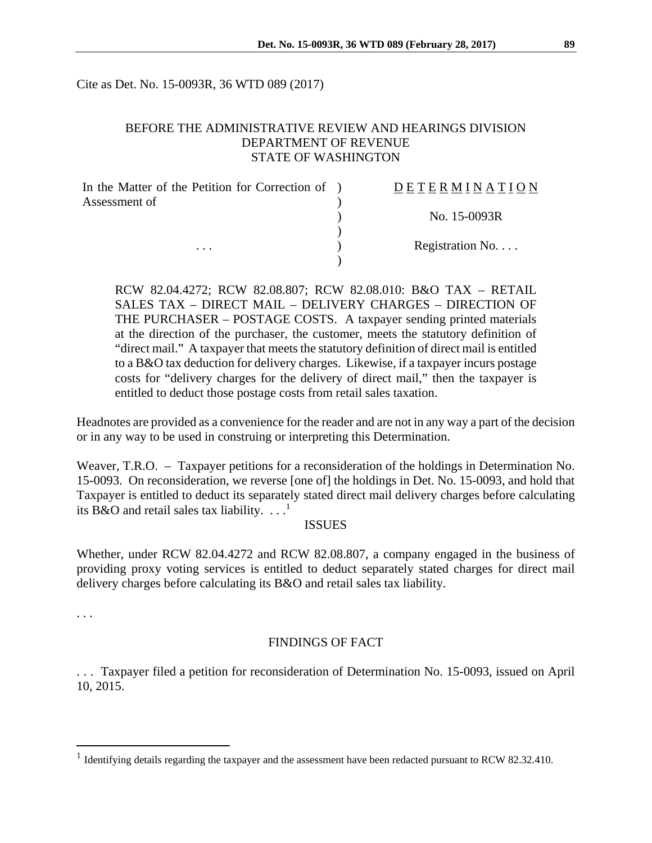Cite as Det. No. 15-0093R, 36 WTD 089 (2017)

#### BEFORE THE ADMINISTRATIVE REVIEW AND HEARINGS DIVISION DEPARTMENT OF REVENUE STATE OF WASHINGTON

| In the Matter of the Petition for Correction of ) | DETERMINATION   |
|---------------------------------------------------|-----------------|
| Assessment of                                     |                 |
|                                                   | No. 15-0093R    |
|                                                   |                 |
| .                                                 | Registration No |
|                                                   |                 |

RCW 82.04.4272; RCW 82.08.807; RCW 82.08.010: B&O TAX – RETAIL SALES TAX – DIRECT MAIL – DELIVERY CHARGES – DIRECTION OF THE PURCHASER – POSTAGE COSTS. A taxpayer sending printed materials at the direction of the purchaser, the customer, meets the statutory definition of "direct mail." A taxpayer that meets the statutory definition of direct mail is entitled to a B&O tax deduction for delivery charges. Likewise, if a taxpayer incurs postage costs for "delivery charges for the delivery of direct mail," then the taxpayer is entitled to deduct those postage costs from retail sales taxation.

Headnotes are provided as a convenience for the reader and are not in any way a part of the decision or in any way to be used in construing or interpreting this Determination.

Weaver, T.R.O. – Taxpayer petitions for a reconsideration of the holdings in Determination No. 15-0093. On reconsideration, we reverse [one of] the holdings in Det. No. 15-0093, and hold that Taxpayer is entitled to deduct its separately stated direct mail delivery charges before calculating its B&O and retail sales tax liability.  $\dots$ <sup>1</sup>

#### ISSUES

Whether, under RCW 82.04.4272 and RCW 82.08.807, a company engaged in the business of providing proxy voting services is entitled to deduct separately stated charges for direct mail delivery charges before calculating its B&O and retail sales tax liability.

. . .

 $\overline{a}$ 

#### FINDINGS OF FACT

. . . Taxpayer filed a petition for reconsideration of Determination No. 15-0093, issued on April 10, 2015.

<sup>&</sup>lt;sup>1</sup> Identifying details regarding the taxpayer and the assessment have been redacted pursuant to RCW 82.32.410.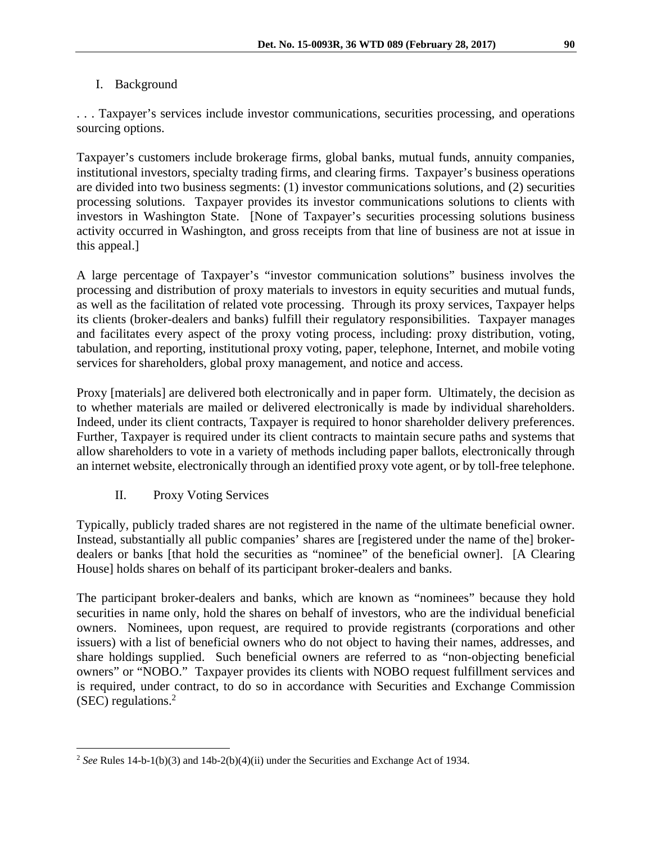### I. Background

. . . Taxpayer's services include investor communications, securities processing, and operations sourcing options.

Taxpayer's customers include brokerage firms, global banks, mutual funds, annuity companies, institutional investors, specialty trading firms, and clearing firms. Taxpayer's business operations are divided into two business segments: (1) investor communications solutions, and (2) securities processing solutions. Taxpayer provides its investor communications solutions to clients with investors in Washington State. [None of Taxpayer's securities processing solutions business activity occurred in Washington, and gross receipts from that line of business are not at issue in this appeal.]

A large percentage of Taxpayer's "investor communication solutions" business involves the processing and distribution of proxy materials to investors in equity securities and mutual funds, as well as the facilitation of related vote processing. Through its proxy services, Taxpayer helps its clients (broker-dealers and banks) fulfill their regulatory responsibilities. Taxpayer manages and facilitates every aspect of the proxy voting process, including: proxy distribution, voting, tabulation, and reporting, institutional proxy voting, paper, telephone, Internet, and mobile voting services for shareholders, global proxy management, and notice and access.

Proxy [materials] are delivered both electronically and in paper form. Ultimately, the decision as to whether materials are mailed or delivered electronically is made by individual shareholders. Indeed, under its client contracts, Taxpayer is required to honor shareholder delivery preferences. Further, Taxpayer is required under its client contracts to maintain secure paths and systems that allow shareholders to vote in a variety of methods including paper ballots, electronically through an internet website, electronically through an identified proxy vote agent, or by toll-free telephone.

## II. Proxy Voting Services

 $\overline{a}$ 

Typically, publicly traded shares are not registered in the name of the ultimate beneficial owner. Instead, substantially all public companies' shares are [registered under the name of the] brokerdealers or banks [that hold the securities as "nominee" of the beneficial owner]. [A Clearing House] holds shares on behalf of its participant broker-dealers and banks.

The participant broker-dealers and banks, which are known as "nominees" because they hold securities in name only, hold the shares on behalf of investors, who are the individual beneficial owners. Nominees, upon request, are required to provide registrants (corporations and other issuers) with a list of beneficial owners who do not object to having their names, addresses, and share holdings supplied. Such beneficial owners are referred to as "non-objecting beneficial owners" or "NOBO." Taxpayer provides its clients with NOBO request fulfillment services and is required, under contract, to do so in accordance with Securities and Exchange Commission (SEC) regulations.2

<sup>&</sup>lt;sup>2</sup> See Rules 14-b-1(b)(3) and 14b-2(b)(4)(ii) under the Securities and Exchange Act of 1934.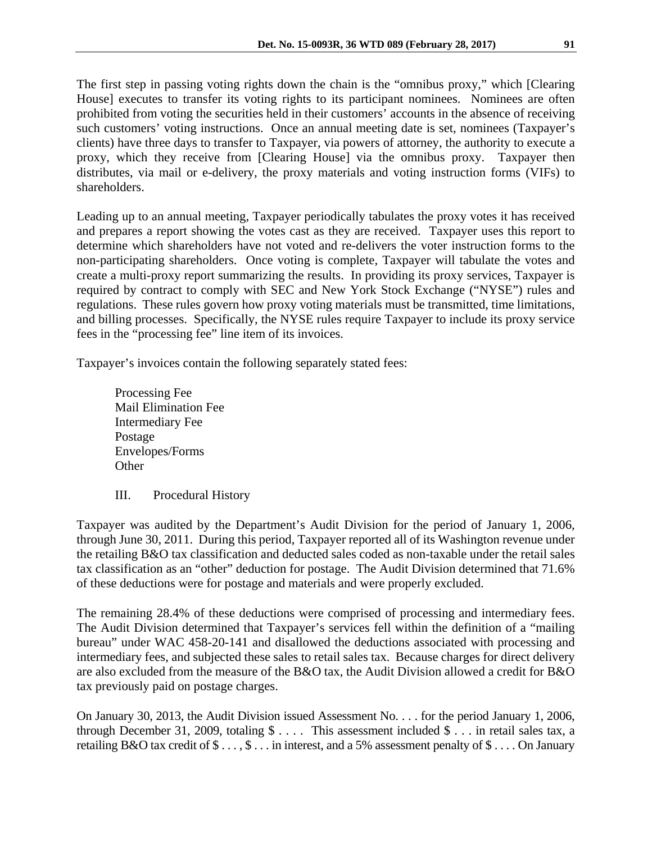The first step in passing voting rights down the chain is the "omnibus proxy," which [Clearing House] executes to transfer its voting rights to its participant nominees. Nominees are often prohibited from voting the securities held in their customers' accounts in the absence of receiving such customers' voting instructions. Once an annual meeting date is set, nominees (Taxpayer's clients) have three days to transfer to Taxpayer, via powers of attorney, the authority to execute a proxy, which they receive from [Clearing House] via the omnibus proxy. Taxpayer then distributes, via mail or e-delivery, the proxy materials and voting instruction forms (VIFs) to shareholders.

Leading up to an annual meeting, Taxpayer periodically tabulates the proxy votes it has received and prepares a report showing the votes cast as they are received. Taxpayer uses this report to determine which shareholders have not voted and re-delivers the voter instruction forms to the non-participating shareholders. Once voting is complete, Taxpayer will tabulate the votes and create a multi-proxy report summarizing the results. In providing its proxy services, Taxpayer is required by contract to comply with SEC and New York Stock Exchange ("NYSE") rules and regulations. These rules govern how proxy voting materials must be transmitted, time limitations, and billing processes. Specifically, the NYSE rules require Taxpayer to include its proxy service fees in the "processing fee" line item of its invoices.

Taxpayer's invoices contain the following separately stated fees:

 Processing Fee Mail Elimination Fee Intermediary Fee Postage Envelopes/Forms **Other** 

III. Procedural History

Taxpayer was audited by the Department's Audit Division for the period of January 1, 2006, through June 30, 2011. During this period, Taxpayer reported all of its Washington revenue under the retailing B&O tax classification and deducted sales coded as non-taxable under the retail sales tax classification as an "other" deduction for postage. The Audit Division determined that 71.6% of these deductions were for postage and materials and were properly excluded.

The remaining 28.4% of these deductions were comprised of processing and intermediary fees. The Audit Division determined that Taxpayer's services fell within the definition of a "mailing bureau" under WAC 458-20-141 and disallowed the deductions associated with processing and intermediary fees, and subjected these sales to retail sales tax. Because charges for direct delivery are also excluded from the measure of the B&O tax, the Audit Division allowed a credit for B&O tax previously paid on postage charges.

On January 30, 2013, the Audit Division issued Assessment No. . . . for the period January 1, 2006, through December 31, 2009, totaling \$ . . . . This assessment included \$ . . . in retail sales tax, a retailing B&O tax credit of \$ . . . , \$ . . . in interest, and a 5% assessment penalty of \$ . . . . On January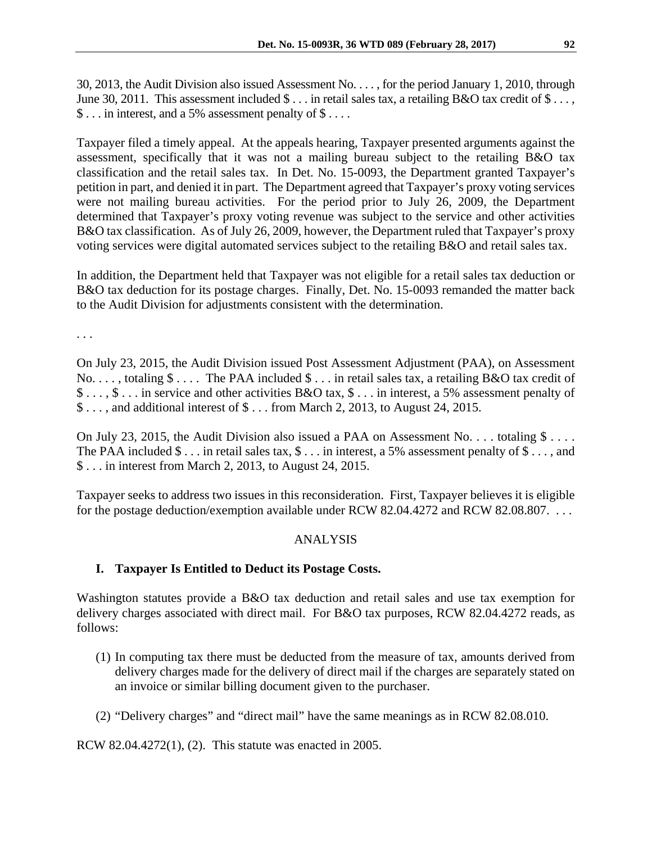30, 2013, the Audit Division also issued Assessment No. . . . , for the period January 1, 2010, through June 30, 2011. This assessment included \$ . . . in retail sales tax, a retailing B&O tax credit of \$ . . . , \$ . . . in interest, and a 5% assessment penalty of \$ . . . .

Taxpayer filed a timely appeal. At the appeals hearing, Taxpayer presented arguments against the assessment, specifically that it was not a mailing bureau subject to the retailing B&O tax classification and the retail sales tax. In Det. No. 15-0093, the Department granted Taxpayer's petition in part, and denied it in part. The Department agreed that Taxpayer's proxy voting services were not mailing bureau activities. For the period prior to July 26, 2009, the Department determined that Taxpayer's proxy voting revenue was subject to the service and other activities B&O tax classification. As of July 26, 2009, however, the Department ruled that Taxpayer's proxy voting services were digital automated services subject to the retailing B&O and retail sales tax.

In addition, the Department held that Taxpayer was not eligible for a retail sales tax deduction or B&O tax deduction for its postage charges. Finally, Det. No. 15-0093 remanded the matter back to the Audit Division for adjustments consistent with the determination.

. . .

On July 23, 2015, the Audit Division issued Post Assessment Adjustment (PAA), on Assessment No. . . . , totaling \$ . . . . The PAA included \$ . . . in retail sales tax, a retailing B&O tax credit of \$ . . . , \$ . . . in service and other activities B&O tax, \$ . . . in interest, a 5% assessment penalty of \$ . . . , and additional interest of \$ . . . from March 2, 2013, to August 24, 2015.

On July 23, 2015, the Audit Division also issued a PAA on Assessment No. . . . totaling  $\frac{1}{2}$ ... The PAA included  $\$\dots$  in retail sales tax,  $\S\dots$  in interest, a 5% assessment penalty of  $\S\dots$ , and \$ . . . in interest from March 2, 2013, to August 24, 2015.

Taxpayer seeks to address two issues in this reconsideration. First, Taxpayer believes it is eligible for the postage deduction/exemption available under RCW 82.04.4272 and RCW 82.08.807. . . .

## ANALYSIS

# **I. Taxpayer Is Entitled to Deduct its Postage Costs.**

Washington statutes provide a B&O tax deduction and retail sales and use tax exemption for delivery charges associated with direct mail. For B&O tax purposes, RCW 82.04.4272 reads, as follows:

- (1) In computing tax there must be deducted from the measure of tax, amounts derived from delivery charges made for the delivery of direct mail if the charges are separately stated on an invoice or similar billing document given to the purchaser.
- (2) "Delivery charges" and "direct mail" have the same meanings as in RCW 82.08.010.

RCW 82.04.4272(1), (2). This statute was enacted in 2005.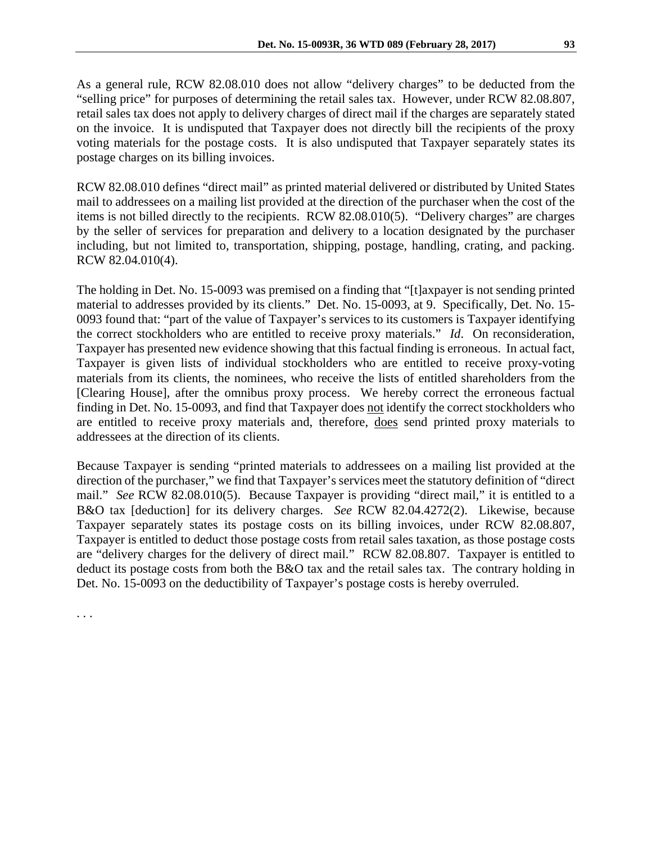As a general rule, RCW 82.08.010 does not allow "delivery charges" to be deducted from the "selling price" for purposes of determining the retail sales tax. However, under RCW 82.08.807, retail sales tax does not apply to delivery charges of direct mail if the charges are separately stated on the invoice. It is undisputed that Taxpayer does not directly bill the recipients of the proxy voting materials for the postage costs. It is also undisputed that Taxpayer separately states its postage charges on its billing invoices.

RCW 82.08.010 defines "direct mail" as printed material delivered or distributed by United States mail to addressees on a mailing list provided at the direction of the purchaser when the cost of the items is not billed directly to the recipients. RCW 82.08.010(5). "Delivery charges" are charges by the seller of services for preparation and delivery to a location designated by the purchaser including, but not limited to, transportation, shipping, postage, handling, crating, and packing. RCW 82.04.010(4).

The holding in Det. No. 15-0093 was premised on a finding that "[t]axpayer is not sending printed material to addresses provided by its clients." Det. No. 15-0093, at 9. Specifically, Det. No. 15- 0093 found that: "part of the value of Taxpayer's services to its customers is Taxpayer identifying the correct stockholders who are entitled to receive proxy materials." *Id*. On reconsideration, Taxpayer has presented new evidence showing that this factual finding is erroneous. In actual fact, Taxpayer is given lists of individual stockholders who are entitled to receive proxy-voting materials from its clients, the nominees, who receive the lists of entitled shareholders from the [Clearing House], after the omnibus proxy process. We hereby correct the erroneous factual finding in Det. No. 15-0093, and find that Taxpayer does not identify the correct stockholders who are entitled to receive proxy materials and, therefore, does send printed proxy materials to addressees at the direction of its clients.

Because Taxpayer is sending "printed materials to addressees on a mailing list provided at the direction of the purchaser," we find that Taxpayer's services meet the statutory definition of "direct mail." *See* RCW 82.08.010(5). Because Taxpayer is providing "direct mail," it is entitled to a B&O tax [deduction] for its delivery charges. *See* RCW 82.04.4272(2). Likewise, because Taxpayer separately states its postage costs on its billing invoices, under RCW 82.08.807, Taxpayer is entitled to deduct those postage costs from retail sales taxation, as those postage costs are "delivery charges for the delivery of direct mail." RCW 82.08.807. Taxpayer is entitled to deduct its postage costs from both the B&O tax and the retail sales tax. The contrary holding in Det. No. 15-0093 on the deductibility of Taxpayer's postage costs is hereby overruled.

. . .